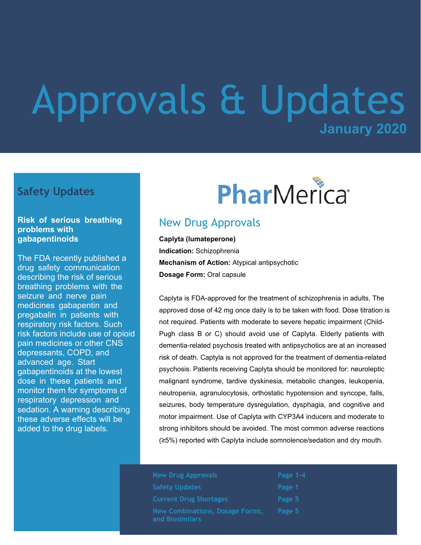# **January 2020** Approvals & Updates

#### **Safety Updates**

#### **Risk of serious breathing problems with gabapentinoids**

The FDA recently published a drug safety communication describing the risk of serious breathing problems with the seizure and nerve pain medicines gabapentin and pregabalin in patients with respiratory risk factors. Such risk factors include use of opioid pain medicines or other CNS depressants, COPD, and advanced age. Start gabapentinoids at the lowest dose in these patients and monitor them for symptoms of respiratory depression and sedation. A warning describing these adverse effects will be added to the drug labels.



## New Drug Approvals

**Caplyta (lumateperone) Indication:** Schizophrenia **Mechanism of Action:** Atypical antipsychotic **Dosage Form:** Oral capsule

Caplyta is FDA-approved for the treatment of schizophrenia in adults. The approved dose of 42 mg once daily is to be taken with food. Dose titration is not required. Patients with moderate to severe hepatic impairment (Child-Pugh class B or C) should avoid use of Caplyta. Elderly patients with dementia-related psychosis treated with antipsychotics are at an increased risk of death. Captyla is not approved for the treatment of dementia-related psychosis. Patients receiving Caplyta should be monitored for: neuroleptic malignant syndrome, tardive dyskinesia, metabolic changes, leukopenia, neutropenia, agranulocytosis, orthostatic hypotension and syncope, falls, seizures, body temperature dysregulation, dysphagia, and cognitive and motor impairment. Use of Caplyta with CYP3A4 inducers and moderate to strong inhibitors should be avoided. The most common adverse reactions (≥5%) reported with Caplyta include somnolence/sedation and dry mouth.

| <b>New Drug Approvals</b>                                 | Page 1-4 |
|-----------------------------------------------------------|----------|
| <b>Safety Updates</b>                                     | Page 1   |
| <b>Current Drug Shortages</b>                             | Page 5   |
| <b>New Combinations, Dosage Forms,</b><br>and Biosimilars | Page 5   |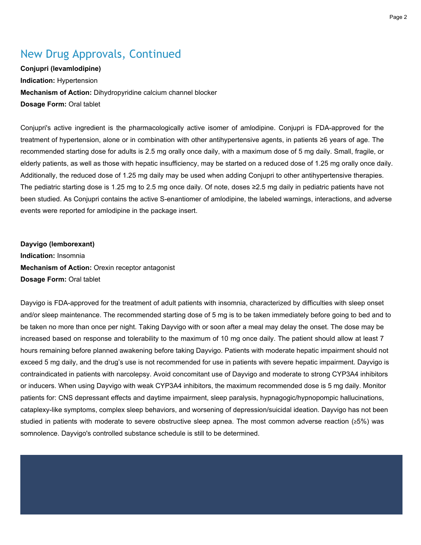## New Drug Approvals, Continued

**Conjupri (levamlodipine) Indication:** Hypertension **Mechanism of Action:** Dihydropyridine calcium channel blocker **Dosage Form:** Oral tablet

Conjupri's active ingredient is the pharmacologically active isomer of amlodipine. Conjupri is FDA-approved for the treatment of hypertension, alone or in combination with other antihypertensive agents, in patients ≥6 years of age. The recommended starting dose for adults is 2.5 mg orally once daily, with a maximum dose of 5 mg daily. Small, fragile, or elderly patients, as well as those with hepatic insufficiency, may be started on a reduced dose of 1.25 mg orally once daily. Additionally, the reduced dose of 1.25 mg daily may be used when adding Conjupri to other antihypertensive therapies. The pediatric starting dose is 1.25 mg to 2.5 mg once daily. Of note, doses ≥2.5 mg daily in pediatric patients have not been studied. As Conjupri contains the active S-enantiomer of amlodipine, the labeled warnings, interactions, and adverse events were reported for amlodipine in the package insert.

**Dayvigo (lemborexant) Indication:** Insomnia **Mechanism of Action:** Orexin receptor antagonist **Dosage Form:** Oral tablet

Dayvigo is FDA-approved for the treatment of adult patients with insomnia, characterized by difficulties with sleep onset and/or sleep maintenance. The recommended starting dose of 5 mg is to be taken immediately before going to bed and to be taken no more than once per night. Taking Dayvigo with or soon after a meal may delay the onset. The dose may be increased based on response and tolerability to the maximum of 10 mg once daily. The patient should allow at least 7 hours remaining before planned awakening before taking Dayvigo. Patients with moderate hepatic impairment should not exceed 5 mg daily, and the drug's use is not recommended for use in patients with severe hepatic impairment. Dayvigo is contraindicated in patients with narcolepsy. Avoid concomitant use of Dayvigo and moderate to strong CYP3A4 inhibitors or inducers. When using Dayvigo with weak CYP3A4 inhibitors, the maximum recommended dose is 5 mg daily. Monitor patients for: CNS depressant effects and daytime impairment, sleep paralysis, hypnagogic/hypnopompic hallucinations, cataplexy-like symptoms, complex sleep behaviors, and worsening of depression/suicidal ideation. Dayvigo has not been studied in patients with moderate to severe obstructive sleep apnea. The most common adverse reaction (≥5%) was somnolence. Dayvigo's controlled substance schedule is still to be determined.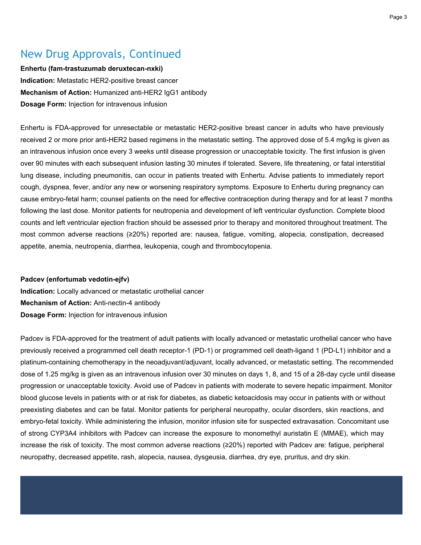## New Drug Approvals, Continued

**Enhertu (fam-trastuzumab deruxtecan-nxki) Indication:** Metastatic HER2-positive breast cancer **Mechanism of Action:** Humanized anti-HER2 IgG1 antibody **Dosage Form:** Injection for intravenous infusion

Enhertu is FDA-approved for unresectable or metastatic HER2-positive breast cancer in adults who have previously received 2 or more prior anti-HER2 based regimens in the metastatic setting. The approved dose of 5.4 mg/kg is given as an intravenous infusion once every 3 weeks until disease progression or unacceptable toxicity. The first infusion is given over 90 minutes with each subsequent infusion lasting 30 minutes if tolerated. Severe, life threatening, or fatal interstitial lung disease, including pneumonitis, can occur in patients treated with Enhertu. Advise patients to immediately report cough, dyspnea, fever, and/or any new or worsening respiratory symptoms. Exposure to Enhertu during pregnancy can cause embryo-fetal harm; counsel patients on the need for effective contraception during therapy and for at least 7 months following the last dose. Monitor patients for neutropenia and development of left ventricular dysfunction. Complete blood counts and left ventricular ejection fraction should be assessed prior to therapy and monitored throughout treatment. The most common adverse reactions (≥20%) reported are: nausea, fatigue, vomiting, alopecia, constipation, decreased appetite, anemia, neutropenia, diarrhea, leukopenia, cough and thrombocytopenia.

#### **Padcev (enfortumab vedotin-ejfv)**

**Indication:** Locally advanced or metastatic urothelial cancer **Mechanism of Action:** Anti-nectin-4 antibody **Dosage Form:** Injection for intravenous infusion

Padcev is FDA-approved for the treatment of adult patients with locally advanced or metastatic urothelial cancer who have previously received a programmed cell death receptor-1 (PD-1) or programmed cell death-ligand 1 (PD-L1) inhibitor and a platinum-containing chemotherapy in the neoadjuvant/adjuvant, locally advanced, or metastatic setting. The recommended dose of 1.25 mg/kg is given as an intravenous infusion over 30 minutes on days 1, 8, and 15 of a 28-day cycle until disease progression or unacceptable toxicity. Avoid use of Padcev in patients with moderate to severe hepatic impairment. Monitor blood glucose levels in patients with or at risk for diabetes, as diabetic ketoacidosis may occur in patients with or without preexisting diabetes and can be fatal. Monitor patients for peripheral neuropathy, ocular disorders, skin reactions, and embryo-fetal toxicity. While administering the infusion, monitor infusion site for suspected extravasation. Concomitant use of strong CYP3A4 inhibitors with Padcev can increase the exposure to monomethyl auristatin E (MMAE), which may increase the risk of toxicity. The most common adverse reactions (≥20%) reported with Padcev are: fatigue, peripheral neuropathy, decreased appetite, rash, alopecia, nausea, dysgeusia, diarrhea, dry eye, pruritus, and dry skin.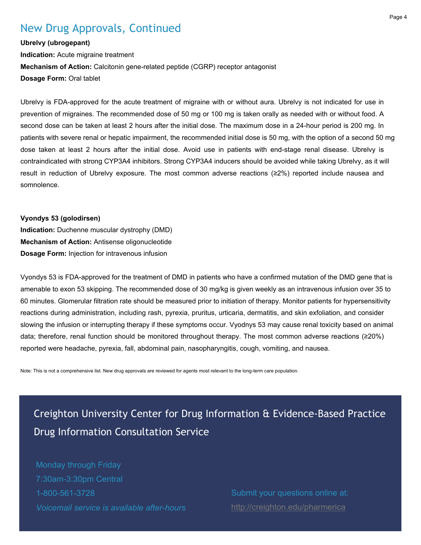### New Drug Approvals, Continued

#### **Ubrelvy (ubrogepant)**

**Indication:** Acute migraine treatment **Mechanism of Action:** Calcitonin gene-related peptide (CGRP) receptor antagonist **Dosage Form:** Oral tablet

Ubrelvy is FDA-approved for the acute treatment of migraine with or without aura. Ubrelvy is not indicated for use in prevention of migraines. The recommended dose of 50 mg or 100 mg is taken orally as needed with or without food. A second dose can be taken at least 2 hours after the initial dose. The maximum dose in a 24-hour period is 200 mg. In patients with severe renal or hepatic impairment, the recommended initial dose is 50 mg, with the option of a second 50 mg dose taken at least 2 hours after the initial dose. Avoid use in patients with end-stage renal disease. Ubrelvy is contraindicated with strong CYP3A4 inhibitors. Strong CYP3A4 inducers should be avoided while taking Ubrelvy, as it will result in reduction of Ubrelvy exposure. The most common adverse reactions (≥2%) reported include nausea and somnolence.

#### **Vyondys 53 (golodirsen)**

**Indication:** Duchenne muscular dystrophy (DMD) **Mechanism of Action:** Antisense oligonucleotide **Dosage Form:** Injection for intravenous infusion

Vyondys 53 is FDA-approved for the treatment of DMD in patients who have a confirmed mutation of the DMD gene that is amenable to exon 53 skipping. The recommended dose of 30 mg/kg is given weekly as an intravenous infusion over 35 to 60 minutes. Glomerular filtration rate should be measured prior to initiation of therapy. Monitor patients for hypersensitivity reactions during administration, including rash, pyrexia, pruritus, urticaria, dermatitis, and skin exfoliation, and consider slowing the infusion or interrupting therapy if these symptoms occur. Vyodnys 53 may cause renal toxicity based on animal data; therefore, renal function should be monitored throughout therapy. The most common adverse reactions (≥20%) reported were headache, pyrexia, fall, abdominal pain, nasopharyngitis, cough, vomiting, and nausea.

Note: This is not a comprehensive list. New drug approvals are reviewed for agents most relevant to the long-term care population.

# Creighton University Center for Drug Information & Evidence-Based Practice Drug Information Consultation Service

Monday through Friday 7:30am-3:30pm Central 1-800-561-3728 *Voicemail service is available after-hours*

Submit your questions online at: <http://creighton.edu/pharmerica>